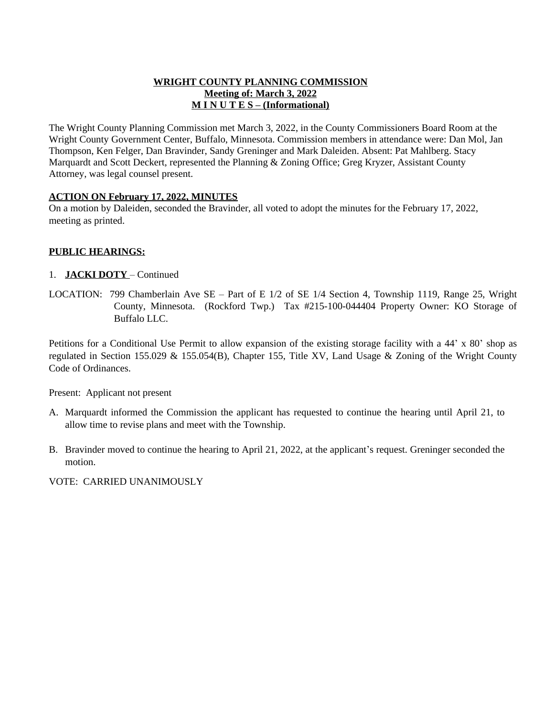### **WRIGHT COUNTY PLANNING COMMISSION Meeting of: March 3, 2022 M I N U T E S – (Informational)**

The Wright County Planning Commission met March 3, 2022, in the County Commissioners Board Room at the Wright County Government Center, Buffalo, Minnesota. Commission members in attendance were: Dan Mol, Jan Thompson, Ken Felger, Dan Bravinder, Sandy Greninger and Mark Daleiden. Absent: Pat Mahlberg. Stacy Marquardt and Scott Deckert, represented the Planning & Zoning Office; Greg Kryzer, Assistant County Attorney, was legal counsel present.

## **ACTION ON February 17, 2022, MINUTES**

On a motion by Daleiden, seconded the Bravinder, all voted to adopt the minutes for the February 17, 2022, meeting as printed.

## **PUBLIC HEARINGS:**

## 1. **JACKI DOTY** – Continued

LOCATION: 799 Chamberlain Ave SE – Part of E 1/2 of SE 1/4 Section 4, Township 1119, Range 25, Wright County, Minnesota. (Rockford Twp.) Tax #215-100-044404 Property Owner: KO Storage of Buffalo LLC.

Petitions for a Conditional Use Permit to allow expansion of the existing storage facility with a 44' x 80' shop as regulated in Section 155.029 & 155.054(B), Chapter 155, Title XV, Land Usage & Zoning of the Wright County Code of Ordinances.

Present: Applicant not present

- A. Marquardt informed the Commission the applicant has requested to continue the hearing until April 21, to allow time to revise plans and meet with the Township.
- B. Bravinder moved to continue the hearing to April 21, 2022, at the applicant's request. Greninger seconded the motion.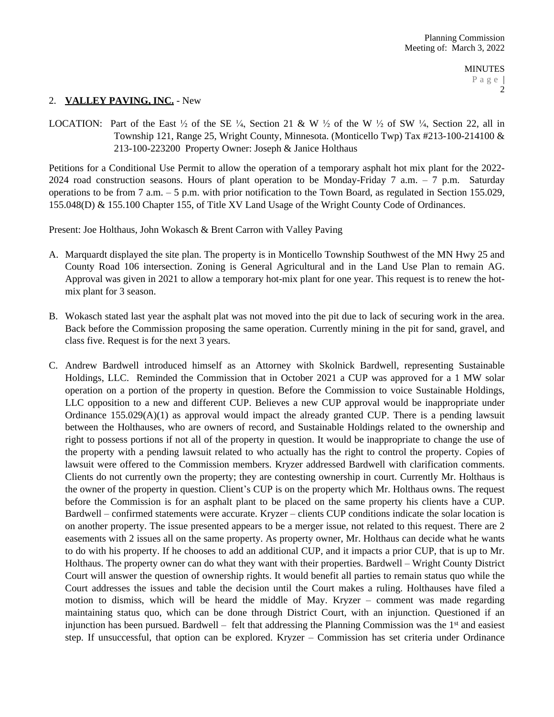## 2. **VALLEY PAVING, INC.** - New

LOCATION: Part of the East  $\frac{1}{2}$  of the SE  $\frac{1}{4}$ , Section 21 & W  $\frac{1}{2}$  of the W  $\frac{1}{2}$  of SW  $\frac{1}{4}$ , Section 22, all in Township 121, Range 25, Wright County, Minnesota. (Monticello Twp) Tax #213-100-214100 & 213-100-223200 Property Owner: Joseph & Janice Holthaus

Petitions for a Conditional Use Permit to allow the operation of a temporary asphalt hot mix plant for the 2022- 2024 road construction seasons. Hours of plant operation to be Monday-Friday 7 a.m.  $-7$  p.m. Saturday operations to be from 7 a.m. – 5 p.m. with prior notification to the Town Board, as regulated in Section 155.029, 155.048(D) & 155.100 Chapter 155, of Title XV Land Usage of the Wright County Code of Ordinances.

Present: Joe Holthaus, John Wokasch & Brent Carron with Valley Paving

- A. Marquardt displayed the site plan. The property is in Monticello Township Southwest of the MN Hwy 25 and County Road 106 intersection. Zoning is General Agricultural and in the Land Use Plan to remain AG. Approval was given in 2021 to allow a temporary hot-mix plant for one year. This request is to renew the hotmix plant for 3 season.
- B. Wokasch stated last year the asphalt plat was not moved into the pit due to lack of securing work in the area. Back before the Commission proposing the same operation. Currently mining in the pit for sand, gravel, and class five. Request is for the next 3 years.
- C. Andrew Bardwell introduced himself as an Attorney with Skolnick Bardwell, representing Sustainable Holdings, LLC. Reminded the Commission that in October 2021 a CUP was approved for a 1 MW solar operation on a portion of the property in question. Before the Commission to voice Sustainable Holdings, LLC opposition to a new and different CUP. Believes a new CUP approval would be inappropriate under Ordinance  $155.029(A)(1)$  as approval would impact the already granted CUP. There is a pending lawsuit between the Holthauses, who are owners of record, and Sustainable Holdings related to the ownership and right to possess portions if not all of the property in question. It would be inappropriate to change the use of the property with a pending lawsuit related to who actually has the right to control the property. Copies of lawsuit were offered to the Commission members. Kryzer addressed Bardwell with clarification comments. Clients do not currently own the property; they are contesting ownership in court. Currently Mr. Holthaus is the owner of the property in question. Client's CUP is on the property which Mr. Holthaus owns. The request before the Commission is for an asphalt plant to be placed on the same property his clients have a CUP. Bardwell – confirmed statements were accurate. Kryzer – clients CUP conditions indicate the solar location is on another property. The issue presented appears to be a merger issue, not related to this request. There are 2 easements with 2 issues all on the same property. As property owner, Mr. Holthaus can decide what he wants to do with his property. If he chooses to add an additional CUP, and it impacts a prior CUP, that is up to Mr. Holthaus. The property owner can do what they want with their properties. Bardwell – Wright County District Court will answer the question of ownership rights. It would benefit all parties to remain status quo while the Court addresses the issues and table the decision until the Court makes a ruling. Holthauses have filed a motion to dismiss, which will be heard the middle of May. Kryzer – comment was made regarding maintaining status quo, which can be done through District Court, with an injunction. Questioned if an injunction has been pursued. Bardwell – felt that addressing the Planning Commission was the 1<sup>st</sup> and easiest step. If unsuccessful, that option can be explored. Kryzer – Commission has set criteria under Ordinance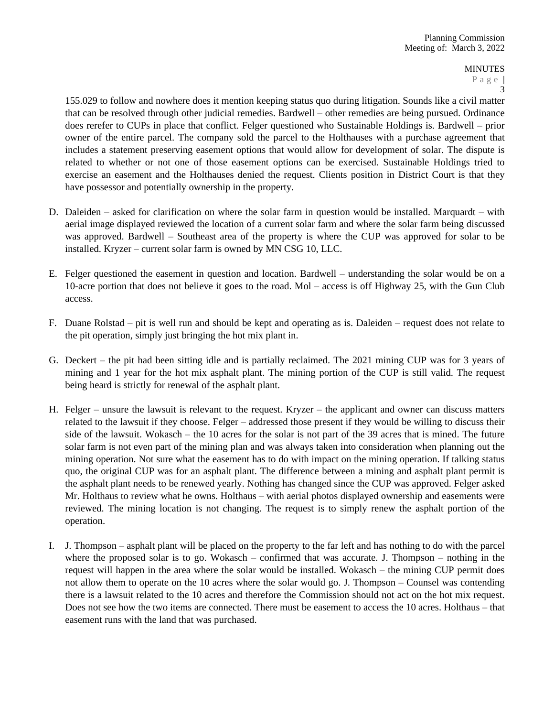155.029 to follow and nowhere does it mention keeping status quo during litigation. Sounds like a civil matter that can be resolved through other judicial remedies. Bardwell – other remedies are being pursued. Ordinance does rerefer to CUPs in place that conflict. Felger questioned who Sustainable Holdings is. Bardwell – prior owner of the entire parcel. The company sold the parcel to the Holthauses with a purchase agreement that includes a statement preserving easement options that would allow for development of solar. The dispute is related to whether or not one of those easement options can be exercised. Sustainable Holdings tried to exercise an easement and the Holthauses denied the request. Clients position in District Court is that they have possessor and potentially ownership in the property.

- D. Daleiden asked for clarification on where the solar farm in question would be installed. Marquardt with aerial image displayed reviewed the location of a current solar farm and where the solar farm being discussed was approved. Bardwell – Southeast area of the property is where the CUP was approved for solar to be installed. Kryzer – current solar farm is owned by MN CSG 10, LLC.
- E. Felger questioned the easement in question and location. Bardwell understanding the solar would be on a 10-acre portion that does not believe it goes to the road. Mol – access is off Highway 25, with the Gun Club access.
- F. Duane Rolstad pit is well run and should be kept and operating as is. Daleiden request does not relate to the pit operation, simply just bringing the hot mix plant in.
- G. Deckert the pit had been sitting idle and is partially reclaimed. The 2021 mining CUP was for 3 years of mining and 1 year for the hot mix asphalt plant. The mining portion of the CUP is still valid. The request being heard is strictly for renewal of the asphalt plant.
- H. Felger unsure the lawsuit is relevant to the request. Kryzer the applicant and owner can discuss matters related to the lawsuit if they choose. Felger – addressed those present if they would be willing to discuss their side of the lawsuit. Wokasch – the 10 acres for the solar is not part of the 39 acres that is mined. The future solar farm is not even part of the mining plan and was always taken into consideration when planning out the mining operation. Not sure what the easement has to do with impact on the mining operation. If talking status quo, the original CUP was for an asphalt plant. The difference between a mining and asphalt plant permit is the asphalt plant needs to be renewed yearly. Nothing has changed since the CUP was approved. Felger asked Mr. Holthaus to review what he owns. Holthaus – with aerial photos displayed ownership and easements were reviewed. The mining location is not changing. The request is to simply renew the asphalt portion of the operation.
- I. J. Thompson asphalt plant will be placed on the property to the far left and has nothing to do with the parcel where the proposed solar is to go. Wokasch – confirmed that was accurate. J. Thompson – nothing in the request will happen in the area where the solar would be installed. Wokasch – the mining CUP permit does not allow them to operate on the 10 acres where the solar would go. J. Thompson – Counsel was contending there is a lawsuit related to the 10 acres and therefore the Commission should not act on the hot mix request. Does not see how the two items are connected. There must be easement to access the 10 acres. Holthaus – that easement runs with the land that was purchased.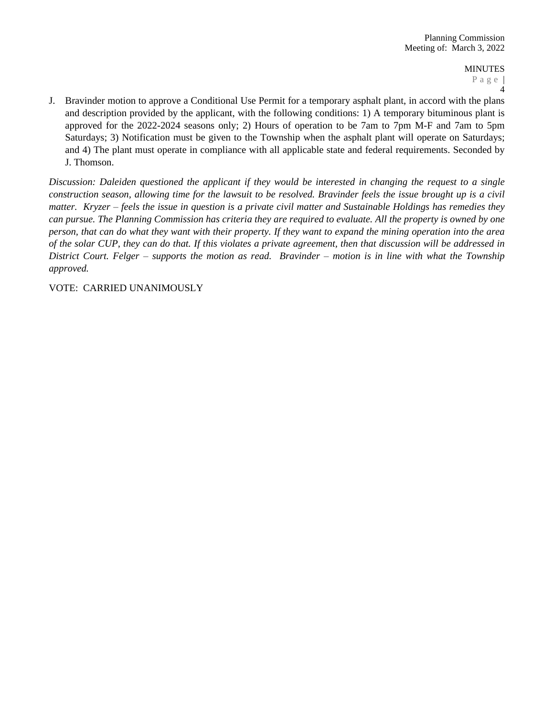J. Bravinder motion to approve a Conditional Use Permit for a temporary asphalt plant, in accord with the plans and description provided by the applicant, with the following conditions: 1) A temporary bituminous plant is approved for the 2022-2024 seasons only; 2) Hours of operation to be 7am to 7pm M-F and 7am to 5pm Saturdays; 3) Notification must be given to the Township when the asphalt plant will operate on Saturdays; and 4) The plant must operate in compliance with all applicable state and federal requirements. Seconded by J. Thomson.

Discussion: Daleiden questioned the applicant if they would be interested in changing the request to a single construction season, allowing time for the lawsuit to be resolved. Bravinder feels the issue brought up is a civil matter. Kryzer – feels the issue in question is a private civil matter and Sustainable Holdings has remedies they can pursue. The Planning Commission has criteria they are required to evaluate. All the property is owned by one person, that can do what they want with their property. If they want to expand the mining operation into the area of the solar CUP, they can do that. If this violates a private agreement, then that discussion will be addressed in District Court. Felger – supports the motion as read. Bravinder – motion is in line with what the Township *approved.*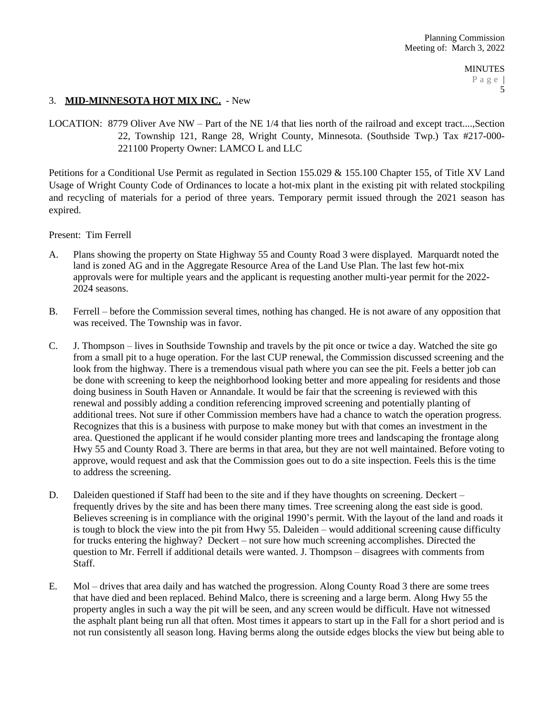## 3. **MID-MINNESOTA HOT MIX INC.** - New

LOCATION: 8779 Oliver Ave NW – Part of the NE 1/4 that lies north of the railroad and except tract....,Section 22, Township 121, Range 28, Wright County, Minnesota. (Southside Twp.) Tax #217-000- 221100 Property Owner: LAMCO L and LLC

Petitions for a Conditional Use Permit as regulated in Section 155.029 & 155.100 Chapter 155, of Title XV Land Usage of Wright County Code of Ordinances to locate a hot-mix plant in the existing pit with related stockpiling and recycling of materials for a period of three years. Temporary permit issued through the 2021 season has expired.

Present: Tim Ferrell

- A. Plans showing the property on State Highway 55 and County Road 3 were displayed. Marquardt noted the land is zoned AG and in the Aggregate Resource Area of the Land Use Plan. The last few hot-mix approvals were for multiple years and the applicant is requesting another multi-year permit for the 2022- 2024 seasons.
- B. Ferrell before the Commission several times, nothing has changed. He is not aware of any opposition that was received. The Township was in favor.
- C. J. Thompson lives in Southside Township and travels by the pit once or twice a day. Watched the site go from a small pit to a huge operation. For the last CUP renewal, the Commission discussed screening and the look from the highway. There is a tremendous visual path where you can see the pit. Feels a better job can be done with screening to keep the neighborhood looking better and more appealing for residents and those doing business in South Haven or Annandale. It would be fair that the screening is reviewed with this renewal and possibly adding a condition referencing improved screening and potentially planting of additional trees. Not sure if other Commission members have had a chance to watch the operation progress. Recognizes that this is a business with purpose to make money but with that comes an investment in the area. Questioned the applicant if he would consider planting more trees and landscaping the frontage along Hwy 55 and County Road 3. There are berms in that area, but they are not well maintained. Before voting to approve, would request and ask that the Commission goes out to do a site inspection. Feels this is the time to address the screening.
- D. Daleiden questioned if Staff had been to the site and if they have thoughts on screening. Deckert frequently drives by the site and has been there many times. Tree screening along the east side is good. Believes screening is in compliance with the original 1990's permit. With the layout of the land and roads it is tough to block the view into the pit from Hwy 55. Daleiden – would additional screening cause difficulty for trucks entering the highway? Deckert – not sure how much screening accomplishes. Directed the question to Mr. Ferrell if additional details were wanted. J. Thompson – disagrees with comments from Staff.
- E. Mol drives that area daily and has watched the progression. Along County Road 3 there are some trees that have died and been replaced. Behind Malco, there is screening and a large berm. Along Hwy 55 the property angles in such a way the pit will be seen, and any screen would be difficult. Have not witnessed the asphalt plant being run all that often. Most times it appears to start up in the Fall for a short period and is not run consistently all season long. Having berms along the outside edges blocks the view but being able to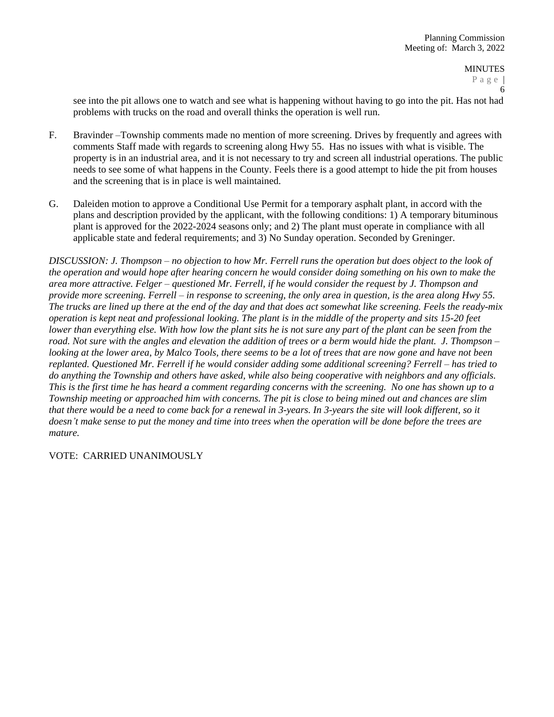see into the pit allows one to watch and see what is happening without having to go into the pit. Has not had problems with trucks on the road and overall thinks the operation is well run.

- F. Bravinder –Township comments made no mention of more screening. Drives by frequently and agrees with comments Staff made with regards to screening along Hwy 55. Has no issues with what is visible. The property is in an industrial area, and it is not necessary to try and screen all industrial operations. The public needs to see some of what happens in the County. Feels there is a good attempt to hide the pit from houses and the screening that is in place is well maintained.
- G. Daleiden motion to approve a Conditional Use Permit for a temporary asphalt plant, in accord with the plans and description provided by the applicant, with the following conditions: 1) A temporary bituminous plant is approved for the 2022-2024 seasons only; and 2) The plant must operate in compliance with all applicable state and federal requirements; and 3) No Sunday operation. Seconded by Greninger.

*DISCUSSION: J. Thompson – no objection to how Mr. Ferrell runs the operation but does object to the look of the operation and would hope after hearing concern he would consider doing something on his own to make the area more attractive. Felger – questioned Mr. Ferrell, if he would consider the request by J. Thompson and provide more screening. Ferrell – in response to screening, the only area in question, is the area along Hwy 55. The trucks are lined up there at the end of the day and that does act somewhat like screening. Feels the ready-mix operation is kept neat and professional looking. The plant is in the middle of the property and sits 15-20 feet lower than everything else. With how low the plant sits he is not sure any part of the plant can be seen from the* road. Not sure with the angles and elevation the addition of trees or a berm would hide the plant. J. Thompson – *looking at the lower area, by Malco Tools, there seems to be a lot of trees that are now gone and have not been replanted. Questioned Mr. Ferrell if he would consider adding some additional screening? Ferrell – has tried to do anything the Township and others have asked, while also being cooperative with neighbors and any officials. This is the first time he has heard a comment regarding concerns with the screening. No one has shown up to a Township meeting or approached him with concerns. The pit is close to being mined out and chances are slim that there would be a need to come back for a renewal in 3-years. In 3-years the site will look different, so it doesn't make sense to put the money and time into trees when the operation will be done before the trees are mature.*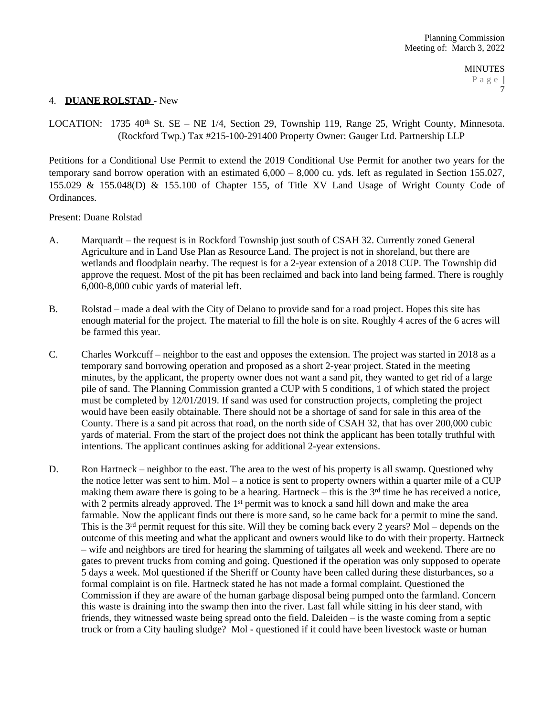## 4. **DUANE ROLSTAD** - New

LOCATION: 1735 40<sup>th</sup> St. SE – NE 1/4, Section 29, Township 119, Range 25, Wright County, Minnesota. (Rockford Twp.) Tax #215-100-291400 Property Owner: Gauger Ltd. Partnership LLP

Petitions for a Conditional Use Permit to extend the 2019 Conditional Use Permit for another two years for the temporary sand borrow operation with an estimated 6,000 – 8,000 cu. yds. left as regulated in Section 155.027, 155.029 & 155.048(D) & 155.100 of Chapter 155, of Title XV Land Usage of Wright County Code of Ordinances.

Present: Duane Rolstad

- A. Marquardt the request is in Rockford Township just south of CSAH 32. Currently zoned General Agriculture and in Land Use Plan as Resource Land. The project is not in shoreland, but there are wetlands and floodplain nearby. The request is for a 2-year extension of a 2018 CUP. The Township did approve the request. Most of the pit has been reclaimed and back into land being farmed. There is roughly 6,000-8,000 cubic yards of material left.
- B. Rolstad made a deal with the City of Delano to provide sand for a road project. Hopes this site has enough material for the project. The material to fill the hole is on site. Roughly 4 acres of the 6 acres will be farmed this year.
- C. Charles Workcuff neighbor to the east and opposes the extension. The project was started in 2018 as a temporary sand borrowing operation and proposed as a short 2-year project. Stated in the meeting minutes, by the applicant, the property owner does not want a sand pit, they wanted to get rid of a large pile of sand. The Planning Commission granted a CUP with 5 conditions, 1 of which stated the project must be completed by 12/01/2019. If sand was used for construction projects, completing the project would have been easily obtainable. There should not be a shortage of sand for sale in this area of the County. There is a sand pit across that road, on the north side of CSAH 32, that has over 200,000 cubic yards of material. From the start of the project does not think the applicant has been totally truthful with intentions. The applicant continues asking for additional 2-year extensions.
- D. Ron Hartneck neighbor to the east. The area to the west of his property is all swamp. Questioned why the notice letter was sent to him. Mol – a notice is sent to property owners within a quarter mile of a CUP making them aware there is going to be a hearing. Hartneck – this is the  $3<sup>rd</sup>$  time he has received a notice, with 2 permits already approved. The  $1<sup>st</sup>$  permit was to knock a sand hill down and make the area farmable. Now the applicant finds out there is more sand, so he came back for a permit to mine the sand. This is the  $3<sup>rd</sup>$  permit request for this site. Will they be coming back every 2 years? Mol – depends on the outcome of this meeting and what the applicant and owners would like to do with their property. Hartneck – wife and neighbors are tired for hearing the slamming of tailgates all week and weekend. There are no gates to prevent trucks from coming and going. Questioned if the operation was only supposed to operate 5 days a week. Mol questioned if the Sheriff or County have been called during these disturbances, so a formal complaint is on file. Hartneck stated he has not made a formal complaint. Questioned the Commission if they are aware of the human garbage disposal being pumped onto the farmland. Concern this waste is draining into the swamp then into the river. Last fall while sitting in his deer stand, with friends, they witnessed waste being spread onto the field. Daleiden – is the waste coming from a septic truck or from a City hauling sludge? Mol - questioned if it could have been livestock waste or human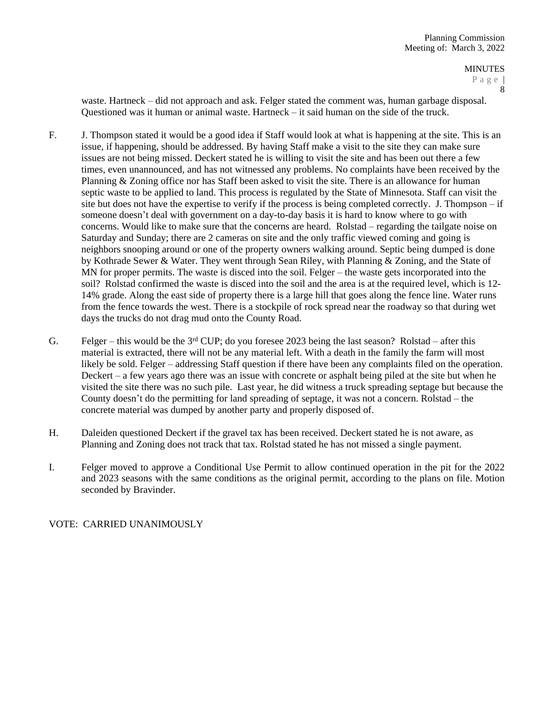8

waste. Hartneck – did not approach and ask. Felger stated the comment was, human garbage disposal. Questioned was it human or animal waste. Hartneck – it said human on the side of the truck.

- F. J. Thompson stated it would be a good idea if Staff would look at what is happening at the site. This is an issue, if happening, should be addressed. By having Staff make a visit to the site they can make sure issues are not being missed. Deckert stated he is willing to visit the site and has been out there a few times, even unannounced, and has not witnessed any problems. No complaints have been received by the Planning & Zoning office nor has Staff been asked to visit the site. There is an allowance for human septic waste to be applied to land. This process is regulated by the State of Minnesota. Staff can visit the site but does not have the expertise to verify if the process is being completed correctly. J. Thompson – if someone doesn't deal with government on a day-to-day basis it is hard to know where to go with concerns. Would like to make sure that the concerns are heard. Rolstad – regarding the tailgate noise on Saturday and Sunday; there are 2 cameras on site and the only traffic viewed coming and going is neighbors snooping around or one of the property owners walking around. Septic being dumped is done by Kothrade Sewer & Water. They went through Sean Riley, with Planning & Zoning, and the State of MN for proper permits. The waste is disced into the soil. Felger – the waste gets incorporated into the soil? Rolstad confirmed the waste is disced into the soil and the area is at the required level, which is 12- 14% grade. Along the east side of property there is a large hill that goes along the fence line. Water runs from the fence towards the west. There is a stockpile of rock spread near the roadway so that during wet days the trucks do not drag mud onto the County Road.
- G. Felger this would be the 3<sup>rd</sup> CUP; do you foresee 2023 being the last season? Rolstad after this material is extracted, there will not be any material left. With a death in the family the farm will most likely be sold. Felger – addressing Staff question if there have been any complaints filed on the operation. Deckert – a few years ago there was an issue with concrete or asphalt being piled at the site but when he visited the site there was no such pile. Last year, he did witness a truck spreading septage but because the County doesn't do the permitting for land spreading of septage, it was not a concern. Rolstad – the concrete material was dumped by another party and properly disposed of.
- H. Daleiden questioned Deckert if the gravel tax has been received. Deckert stated he is not aware, as Planning and Zoning does not track that tax. Rolstad stated he has not missed a single payment.
- I. Felger moved to approve a Conditional Use Permit to allow continued operation in the pit for the 2022 and 2023 seasons with the same conditions as the original permit, according to the plans on file. Motion seconded by Bravinder.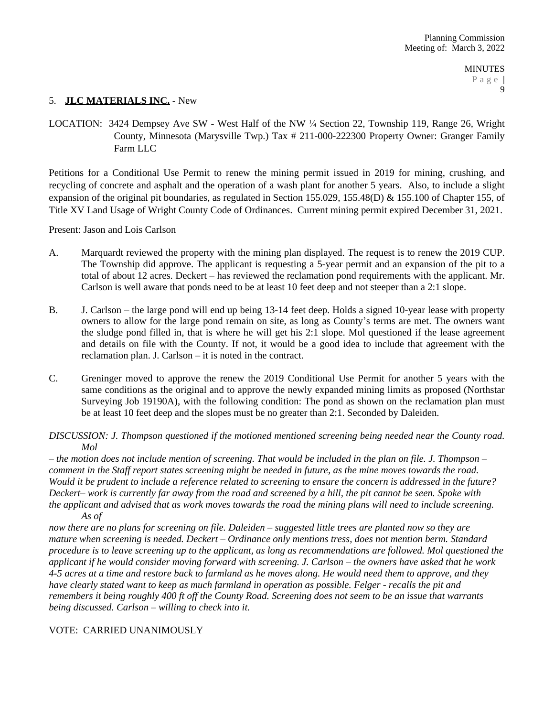## 5. **JLC MATERIALS INC.** - New

LOCATION: 3424 Dempsey Ave SW - West Half of the NW ¼ Section 22, Township 119, Range 26, Wright County, Minnesota (Marysville Twp.) Tax # 211-000-222300 Property Owner: Granger Family Farm LLC

Petitions for a Conditional Use Permit to renew the mining permit issued in 2019 for mining, crushing, and recycling of concrete and asphalt and the operation of a wash plant for another 5 years. Also, to include a slight expansion of the original pit boundaries, as regulated in Section 155.029, 155.48(D) & 155.100 of Chapter 155, of Title XV Land Usage of Wright County Code of Ordinances. Current mining permit expired December 31, 2021.

Present: Jason and Lois Carlson

- A. Marquardt reviewed the property with the mining plan displayed. The request is to renew the 2019 CUP. The Township did approve. The applicant is requesting a 5-year permit and an expansion of the pit to a total of about 12 acres. Deckert – has reviewed the reclamation pond requirements with the applicant. Mr. Carlson is well aware that ponds need to be at least 10 feet deep and not steeper than a 2:1 slope.
- B. J. Carlson the large pond will end up being 13-14 feet deep. Holds a signed 10-year lease with property owners to allow for the large pond remain on site, as long as County's terms are met. The owners want the sludge pond filled in, that is where he will get his 2:1 slope. Mol questioned if the lease agreement and details on file with the County. If not, it would be a good idea to include that agreement with the reclamation plan. J. Carlson – it is noted in the contract.
- C. Greninger moved to approve the renew the 2019 Conditional Use Permit for another 5 years with the same conditions as the original and to approve the newly expanded mining limits as proposed (Northstar Surveying Job 19190A), with the following condition: The pond as shown on the reclamation plan must be at least 10 feet deep and the slopes must be no greater than 2:1. Seconded by Daleiden.
- *DISCUSSION: J. Thompson questioned if the motioned mentioned screening being needed near the County road. Mol*

*– the motion does not include mention of screening. That would be included in the plan on file. J. Thompson – comment in the Staff report states screening might be needed in future, as the mine moves towards the road. Would it be prudent to include a reference related to screening to ensure the concern is addressed in the future? Deckert– work is currently far away from the road and screened by a hill, the pit cannot be seen. Spoke with the applicant and advised that as work moves towards the road the mining plans will need to include screening. As of* 

*now there are no plans for screening on file. Daleiden – suggested little trees are planted now so they are mature when screening is needed. Deckert – Ordinance only mentions tress, does not mention berm. Standard procedure is to leave screening up to the applicant, as long as recommendations are followed. Mol questioned the applicant if he would consider moving forward with screening. J. Carlson – the owners have asked that he work 4-5 acres at a time and restore back to farmland as he moves along. He would need them to approve, and they have clearly stated want to keep as much farmland in operation as possible. Felger - recalls the pit and remembers it being roughly 400 ft off the County Road. Screening does not seem to be an issue that warrants being discussed. Carlson – willing to check into it.*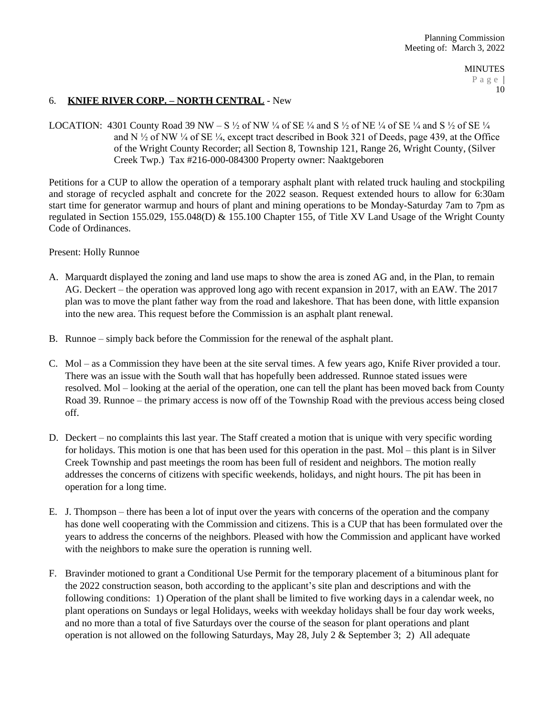# 6. **KNIFE RIVER CORP. – NORTH CENTRAL** - New

LOCATION: 4301 County Road 39 NW – S  $\frac{1}{2}$  of NW  $\frac{1}{4}$  of SE  $\frac{1}{4}$  and S  $\frac{1}{2}$  of SE  $\frac{1}{4}$  of SE  $\frac{1}{4}$  and S  $\frac{1}{2}$  of SE  $\frac{1}{4}$ and N  $\frac{1}{2}$  of NW  $\frac{1}{4}$  of SE  $\frac{1}{4}$ , except tract described in Book 321 of Deeds, page 439, at the Office of the Wright County Recorder; all Section 8, Township 121, Range 26, Wright County, (Silver Creek Twp.) Tax #216-000-084300 Property owner: Naaktgeboren

Petitions for a CUP to allow the operation of a temporary asphalt plant with related truck hauling and stockpiling and storage of recycled asphalt and concrete for the 2022 season. Request extended hours to allow for 6:30am start time for generator warmup and hours of plant and mining operations to be Monday-Saturday 7am to 7pm as regulated in Section 155.029, 155.048(D) & 155.100 Chapter 155, of Title XV Land Usage of the Wright County Code of Ordinances.

Present: Holly Runnoe

- A. Marquardt displayed the zoning and land use maps to show the area is zoned AG and, in the Plan, to remain AG. Deckert – the operation was approved long ago with recent expansion in 2017, with an EAW. The 2017 plan was to move the plant father way from the road and lakeshore. That has been done, with little expansion into the new area. This request before the Commission is an asphalt plant renewal.
- B. Runnoe simply back before the Commission for the renewal of the asphalt plant.
- C. Mol as a Commission they have been at the site serval times. A few years ago, Knife River provided a tour. There was an issue with the South wall that has hopefully been addressed. Runnoe stated issues were resolved. Mol – looking at the aerial of the operation, one can tell the plant has been moved back from County Road 39. Runnoe – the primary access is now off of the Township Road with the previous access being closed off.
- D. Deckert no complaints this last year. The Staff created a motion that is unique with very specific wording for holidays. This motion is one that has been used for this operation in the past. Mol – this plant is in Silver Creek Township and past meetings the room has been full of resident and neighbors. The motion really addresses the concerns of citizens with specific weekends, holidays, and night hours. The pit has been in operation for a long time.
- E. J. Thompson there has been a lot of input over the years with concerns of the operation and the company has done well cooperating with the Commission and citizens. This is a CUP that has been formulated over the years to address the concerns of the neighbors. Pleased with how the Commission and applicant have worked with the neighbors to make sure the operation is running well.
- F. Bravinder motioned to grant a Conditional Use Permit for the temporary placement of a bituminous plant for the 2022 construction season, both according to the applicant's site plan and descriptions and with the following conditions: 1) Operation of the plant shall be limited to five working days in a calendar week, no plant operations on Sundays or legal Holidays, weeks with weekday holidays shall be four day work weeks, and no more than a total of five Saturdays over the course of the season for plant operations and plant operation is not allowed on the following Saturdays, May 28, July 2 & September 3; 2) All adequate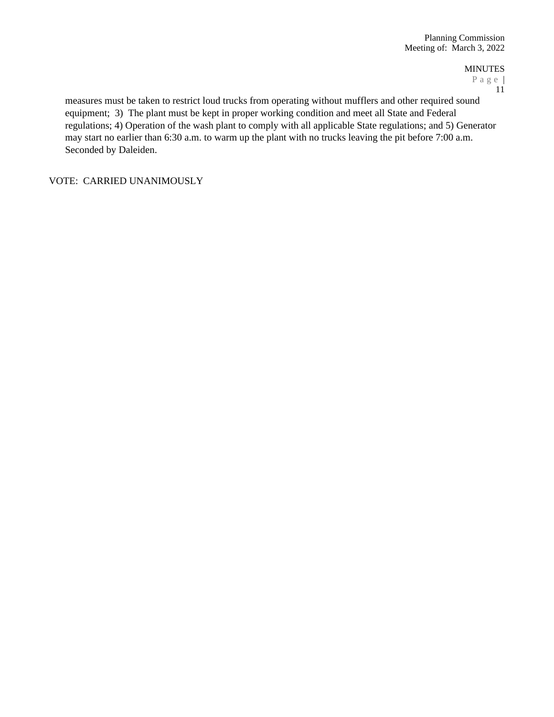MINUTES

P a g e | 11

measures must be taken to restrict loud trucks from operating without mufflers and other required sound equipment; 3) The plant must be kept in proper working condition and meet all State and Federal regulations; 4) Operation of the wash plant to comply with all applicable State regulations; and 5) Generator may start no earlier than 6:30 a.m. to warm up the plant with no trucks leaving the pit before 7:00 a.m. Seconded by Daleiden.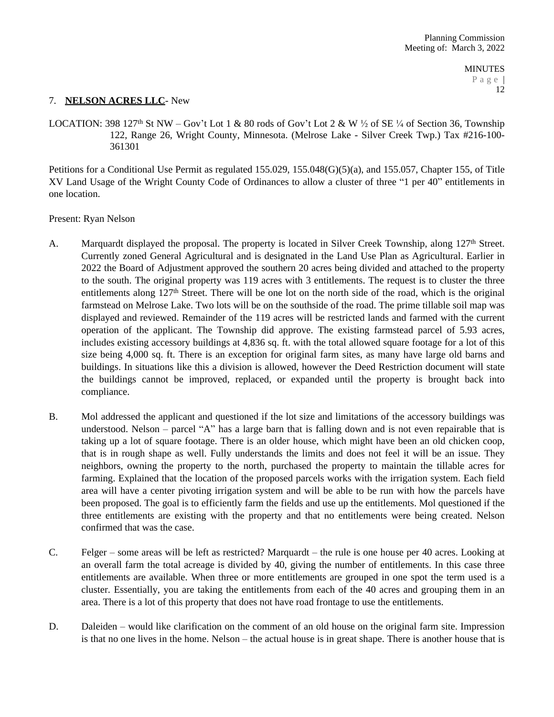## 7. **NELSON ACRES LLC**- New

LOCATION: 398 127<sup>th</sup> St NW – Gov't Lot 1 & 80 rods of Gov't Lot 2 & W  $\frac{1}{2}$  of SE  $\frac{1}{4}$  of Section 36, Township 122, Range 26, Wright County, Minnesota. (Melrose Lake - Silver Creek Twp.) Tax #216-100- 361301

Petitions for a Conditional Use Permit as regulated 155.029, 155.048(G)(5)(a), and 155.057, Chapter 155, of Title XV Land Usage of the Wright County Code of Ordinances to allow a cluster of three "1 per 40" entitlements in one location.

Present: Ryan Nelson

- A. Marquardt displayed the proposal. The property is located in Silver Creek Township, along 127<sup>th</sup> Street. Currently zoned General Agricultural and is designated in the Land Use Plan as Agricultural. Earlier in 2022 the Board of Adjustment approved the southern 20 acres being divided and attached to the property to the south. The original property was 119 acres with 3 entitlements. The request is to cluster the three entitlements along  $127<sup>th</sup>$  Street. There will be one lot on the north side of the road, which is the original farmstead on Melrose Lake. Two lots will be on the southside of the road. The prime tillable soil map was displayed and reviewed. Remainder of the 119 acres will be restricted lands and farmed with the current operation of the applicant. The Township did approve. The existing farmstead parcel of 5.93 acres, includes existing accessory buildings at 4,836 sq. ft. with the total allowed square footage for a lot of this size being 4,000 sq. ft. There is an exception for original farm sites, as many have large old barns and buildings. In situations like this a division is allowed, however the Deed Restriction document will state the buildings cannot be improved, replaced, or expanded until the property is brought back into compliance.
- B. Mol addressed the applicant and questioned if the lot size and limitations of the accessory buildings was understood. Nelson – parcel "A" has a large barn that is falling down and is not even repairable that is taking up a lot of square footage. There is an older house, which might have been an old chicken coop, that is in rough shape as well. Fully understands the limits and does not feel it will be an issue. They neighbors, owning the property to the north, purchased the property to maintain the tillable acres for farming. Explained that the location of the proposed parcels works with the irrigation system. Each field area will have a center pivoting irrigation system and will be able to be run with how the parcels have been proposed. The goal is to efficiently farm the fields and use up the entitlements. Mol questioned if the three entitlements are existing with the property and that no entitlements were being created. Nelson confirmed that was the case.
- C. Felger some areas will be left as restricted? Marquardt the rule is one house per 40 acres. Looking at an overall farm the total acreage is divided by 40, giving the number of entitlements. In this case three entitlements are available. When three or more entitlements are grouped in one spot the term used is a cluster. Essentially, you are taking the entitlements from each of the 40 acres and grouping them in an area. There is a lot of this property that does not have road frontage to use the entitlements.
- D. Daleiden would like clarification on the comment of an old house on the original farm site. Impression is that no one lives in the home. Nelson – the actual house is in great shape. There is another house that is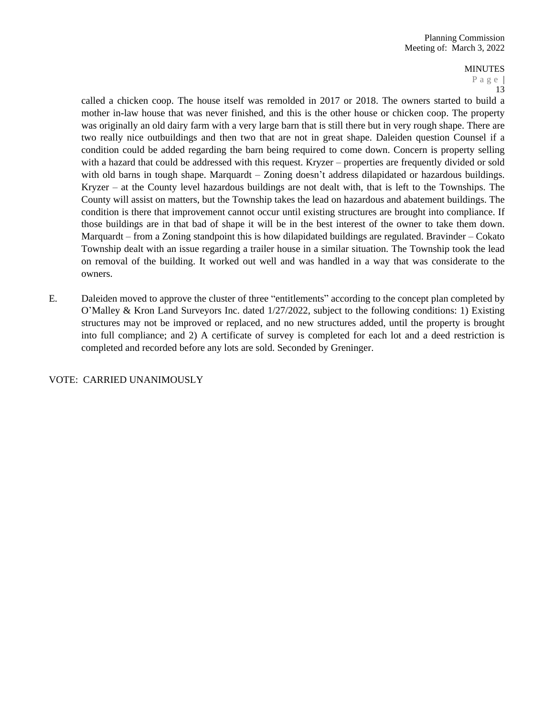# MINUTES

P a g e | 13

called a chicken coop. The house itself was remolded in 2017 or 2018. The owners started to build a mother in-law house that was never finished, and this is the other house or chicken coop. The property was originally an old dairy farm with a very large barn that is still there but in very rough shape. There are two really nice outbuildings and then two that are not in great shape. Daleiden question Counsel if a condition could be added regarding the barn being required to come down. Concern is property selling with a hazard that could be addressed with this request. Kryzer – properties are frequently divided or sold with old barns in tough shape. Marquardt – Zoning doesn't address dilapidated or hazardous buildings. Kryzer – at the County level hazardous buildings are not dealt with, that is left to the Townships. The County will assist on matters, but the Township takes the lead on hazardous and abatement buildings. The condition is there that improvement cannot occur until existing structures are brought into compliance. If those buildings are in that bad of shape it will be in the best interest of the owner to take them down. Marquardt – from a Zoning standpoint this is how dilapidated buildings are regulated. Bravinder – Cokato Township dealt with an issue regarding a trailer house in a similar situation. The Township took the lead on removal of the building. It worked out well and was handled in a way that was considerate to the owners.

E. Daleiden moved to approve the cluster of three "entitlements" according to the concept plan completed by O'Malley & Kron Land Surveyors Inc. dated 1/27/2022, subject to the following conditions: 1) Existing structures may not be improved or replaced, and no new structures added, until the property is brought into full compliance; and 2) A certificate of survey is completed for each lot and a deed restriction is completed and recorded before any lots are sold. Seconded by Greninger.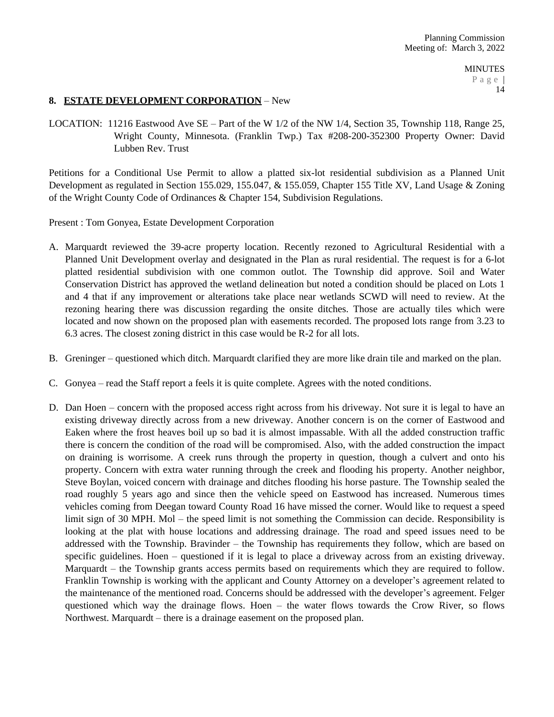## **8. ESTATE DEVELOPMENT CORPORATION** – New

LOCATION: 11216 Eastwood Ave SE – Part of the W 1/2 of the NW 1/4, Section 35, Township 118, Range 25, Wright County, Minnesota. (Franklin Twp.) Tax #208-200-352300 Property Owner: David Lubben Rev. Trust

Petitions for a Conditional Use Permit to allow a platted six-lot residential subdivision as a Planned Unit Development as regulated in Section 155.029, 155.047, & 155.059, Chapter 155 Title XV, Land Usage & Zoning of the Wright County Code of Ordinances & Chapter 154, Subdivision Regulations.

Present : Tom Gonyea, Estate Development Corporation

- A. Marquardt reviewed the 39-acre property location. Recently rezoned to Agricultural Residential with a Planned Unit Development overlay and designated in the Plan as rural residential. The request is for a 6-lot platted residential subdivision with one common outlot. The Township did approve. Soil and Water Conservation District has approved the wetland delineation but noted a condition should be placed on Lots 1 and 4 that if any improvement or alterations take place near wetlands SCWD will need to review. At the rezoning hearing there was discussion regarding the onsite ditches. Those are actually tiles which were located and now shown on the proposed plan with easements recorded. The proposed lots range from 3.23 to 6.3 acres. The closest zoning district in this case would be R-2 for all lots.
- B. Greninger questioned which ditch. Marquardt clarified they are more like drain tile and marked on the plan.
- C. Gonyea read the Staff report a feels it is quite complete. Agrees with the noted conditions.
- D. Dan Hoen concern with the proposed access right across from his driveway. Not sure it is legal to have an existing driveway directly across from a new driveway. Another concern is on the corner of Eastwood and Eaken where the frost heaves boil up so bad it is almost impassable. With all the added construction traffic there is concern the condition of the road will be compromised. Also, with the added construction the impact on draining is worrisome. A creek runs through the property in question, though a culvert and onto his property. Concern with extra water running through the creek and flooding his property. Another neighbor, Steve Boylan, voiced concern with drainage and ditches flooding his horse pasture. The Township sealed the road roughly 5 years ago and since then the vehicle speed on Eastwood has increased. Numerous times vehicles coming from Deegan toward County Road 16 have missed the corner. Would like to request a speed limit sign of 30 MPH. Mol – the speed limit is not something the Commission can decide. Responsibility is looking at the plat with house locations and addressing drainage. The road and speed issues need to be addressed with the Township. Bravinder – the Township has requirements they follow, which are based on specific guidelines. Hoen – questioned if it is legal to place a driveway across from an existing driveway. Marquardt – the Township grants access permits based on requirements which they are required to follow. Franklin Township is working with the applicant and County Attorney on a developer's agreement related to the maintenance of the mentioned road. Concerns should be addressed with the developer's agreement. Felger questioned which way the drainage flows. Hoen – the water flows towards the Crow River, so flows Northwest. Marquardt – there is a drainage easement on the proposed plan.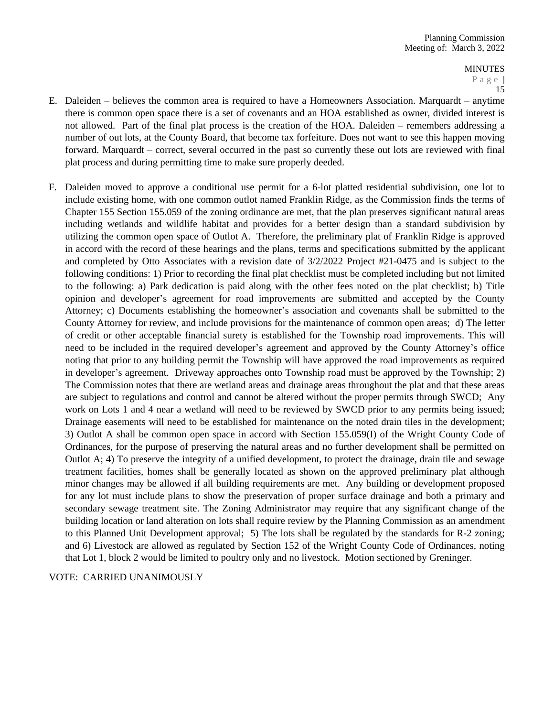- E. Daleiden believes the common area is required to have a Homeowners Association. Marquardt anytime there is common open space there is a set of covenants and an HOA established as owner, divided interest is not allowed. Part of the final plat process is the creation of the HOA. Daleiden – remembers addressing a number of out lots, at the County Board, that become tax forfeiture. Does not want to see this happen moving forward. Marquardt – correct, several occurred in the past so currently these out lots are reviewed with final plat process and during permitting time to make sure properly deeded.
- F. Daleiden moved to approve a conditional use permit for a 6-lot platted residential subdivision, one lot to include existing home, with one common outlot named Franklin Ridge, as the Commission finds the terms of Chapter 155 Section 155.059 of the zoning ordinance are met, that the plan preserves significant natural areas including wetlands and wildlife habitat and provides for a better design than a standard subdivision by utilizing the common open space of Outlot A. Therefore, the preliminary plat of Franklin Ridge is approved in accord with the record of these hearings and the plans, terms and specifications submitted by the applicant and completed by Otto Associates with a revision date of 3/2/2022 Project #21-0475 and is subject to the following conditions: 1) Prior to recording the final plat checklist must be completed including but not limited to the following: a) Park dedication is paid along with the other fees noted on the plat checklist; b) Title opinion and developer's agreement for road improvements are submitted and accepted by the County Attorney; c) Documents establishing the homeowner's association and covenants shall be submitted to the County Attorney for review, and include provisions for the maintenance of common open areas; d) The letter of credit or other acceptable financial surety is established for the Township road improvements. This will need to be included in the required developer's agreement and approved by the County Attorney's office noting that prior to any building permit the Township will have approved the road improvements as required in developer's agreement. Driveway approaches onto Township road must be approved by the Township; 2) The Commission notes that there are wetland areas and drainage areas throughout the plat and that these areas are subject to regulations and control and cannot be altered without the proper permits through SWCD; Any work on Lots 1 and 4 near a wetland will need to be reviewed by SWCD prior to any permits being issued; Drainage easements will need to be established for maintenance on the noted drain tiles in the development; 3) Outlot A shall be common open space in accord with Section 155.059(I) of the Wright County Code of Ordinances, for the purpose of preserving the natural areas and no further development shall be permitted on Outlot A; 4) To preserve the integrity of a unified development, to protect the drainage, drain tile and sewage treatment facilities, homes shall be generally located as shown on the approved preliminary plat although minor changes may be allowed if all building requirements are met. Any building or development proposed for any lot must include plans to show the preservation of proper surface drainage and both a primary and secondary sewage treatment site. The Zoning Administrator may require that any significant change of the building location or land alteration on lots shall require review by the Planning Commission as an amendment to this Planned Unit Development approval; 5) The lots shall be regulated by the standards for R-2 zoning; and 6) Livestock are allowed as regulated by Section 152 of the Wright County Code of Ordinances, noting that Lot 1, block 2 would be limited to poultry only and no livestock. Motion sectioned by Greninger.